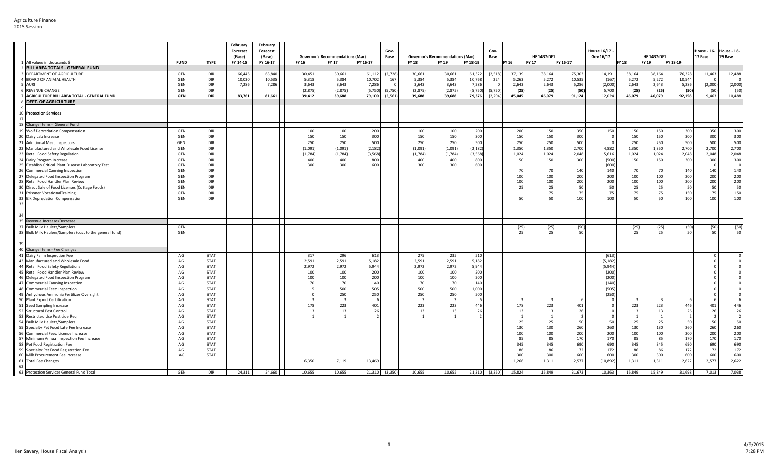## Agriculture Finance2015 Session

|                                                                       |             |             | February<br>Forecast<br>(Base) | February<br>Forecast<br>(Base) | Governor's Recommendations (Mar) |                | Gov-<br>Base<br>FY 16-17 |                     | <b>Governor's Recommendations (Mar)</b><br>FY 18-19 |                |                 | Gov-<br>Base        | HF 1437-DE1<br><b>FY 17</b><br>FY 16-17 |                |                 | <b>House 16/17</b><br>Gov 16/17 |                | HF 1437-DE1    | House - 16-<br>17 Base | <b>House - 18-</b><br>19 Base |          |
|-----------------------------------------------------------------------|-------------|-------------|--------------------------------|--------------------------------|----------------------------------|----------------|--------------------------|---------------------|-----------------------------------------------------|----------------|-----------------|---------------------|-----------------------------------------|----------------|-----------------|---------------------------------|----------------|----------------|------------------------|-------------------------------|----------|
| 1 All values in thousands \$                                          | <b>FUND</b> | <b>TYPE</b> | FY 14-15                       | FY 16-17                       | FY 16                            | FY 17          |                          |                     | <b>FY 18</b>                                        | FY 19          |                 |                     | FY 16                                   |                |                 |                                 | FY 18          | FY 19          | FY 18-19               |                               |          |
| 2 BILL AREA TOTALS - GENERAL FUND<br><b>DEPARTMENT OF AGRICULTURE</b> | GEN         | DIR         |                                | 63,840                         |                                  | 30,661         |                          | (2,728)             |                                                     | 30,661         |                 | (2,518)             |                                         | 38,164         |                 |                                 | 38,164         | 38,164         |                        |                               |          |
|                                                                       |             |             | 66,445                         |                                | 30,451                           |                | 61,112                   |                     | 30,661                                              |                | 61,322          |                     | 37,139                                  |                | 75,303          | 14,191                          |                |                | 76,328                 | 11,463                        | 12,488   |
| <b>BOARD OF ANIMAL HEALTH</b><br><b>AURI</b>                          | GEN<br>GEN  | DIR<br>DIR  | 10,030<br>7,286                | 10,535                         | 5,318<br>3,643                   | 5,384<br>3,643 | 10,702<br>7,286          | 167                 | 5,384<br>3,643                                      | 5,384<br>3,643 | 10,768<br>7,286 | 224                 | 5,263<br>2,643                          | 5,272<br>2,643 | 10,535          | (167)                           | 5,272<br>2,643 | 5,272<br>2,643 | 10,544<br>5,286        | (2,000)                       | (2,000)  |
| <b>6 REVENUE CHANGE</b>                                               | GEN         | <b>DIR</b>  |                                | 7,286                          | (2,875)                          | (2, 875)       | (5,750)                  |                     | (2,875)                                             | (2,875)        | (5,750)         |                     | (25)                                    | (25)           | 5,286<br>(50    | (2,000)<br>5,700                | (25)           | (25)           | (50                    | (50)                          | (50)     |
| 7 AGRICULTURE BILL AREA TOTAL - GENERAL FUND                          | <b>GEN</b>  | <b>DIR</b>  | 83,761                         | 81,661                         | 39,412                           | 39,688         | 79,100                   | (5,750)<br>(2, 561) | 39,688                                              | 39,688         | 79,376          | (5,750)<br>(2, 294) | 45,045                                  | 46,079         | 91,124          | 12,024                          | 46,079         | 46,079         | 92,158                 | 9,463                         | 10,488   |
|                                                                       |             |             |                                |                                |                                  |                |                          |                     |                                                     |                |                 |                     |                                         |                |                 |                                 |                |                |                        |                               |          |
| <b>DEPT. OF AGRICULTURE</b>                                           |             |             |                                |                                |                                  |                |                          |                     |                                                     |                |                 |                     |                                         |                |                 |                                 |                |                |                        |                               |          |
| <b>10 Protection Services</b>                                         |             |             |                                |                                |                                  |                |                          |                     |                                                     |                |                 |                     |                                         |                |                 |                                 |                |                |                        |                               |          |
|                                                                       |             |             |                                |                                |                                  |                |                          |                     |                                                     |                |                 |                     |                                         |                |                 |                                 |                |                |                        |                               |          |
| 18 Change Items - General Fund                                        |             |             |                                |                                | I.                               |                |                          |                     |                                                     |                |                 |                     |                                         |                |                 |                                 |                |                |                        |                               |          |
| 19 Wolf Depredation Compensation                                      | GEN         | <b>DIR</b>  |                                |                                | 100                              | 100            | 200                      |                     | 100                                                 | 100            | 200             |                     | 200                                     | 150            | 350             | 150                             | 150            | 150            | 300                    | 350                           | 300      |
| 20 Dairy Lab Increase                                                 | GEN         | <b>DIR</b>  |                                |                                | 150                              | 150            | 300                      |                     | 150                                                 | 150            | 300             |                     | 150                                     | 150            | 300             |                                 | 150            | 150            | 300                    | 300                           | 300      |
| 21 Additional Meat Inspectors                                         | GEN         | DIR         |                                |                                | 250                              | 250            | 500                      |                     | 250                                                 | 250            | 500             |                     | 250                                     | 250            | 500             |                                 | 250            | 250            | 500                    | 500                           | 500      |
| 22 Manufactured and Wholesale Food License                            | GEN         | <b>DIR</b>  |                                |                                | (1,091)                          | (1,091)        | (2, 182)                 |                     | (1,091)                                             | (1,091)        | (2, 182)        |                     | 1,350                                   | 1,350          | 2,700           | 4,882                           | 1,350          | 1,350          | 2,700                  | 2,700                         | 2,700    |
| 23 Retail Food Safety Regulation                                      | GEN         | DIR         |                                |                                | (1,784)                          | (1,784)        | (3, 568)                 |                     | (1,784)                                             | (1,784)        | (3, 568)        |                     | 1,024                                   | 1,024          | 2,048           | 5,616                           | 1,024          | 1,024          | 2,048                  | 2,048                         | 2,048    |
| 24 Dairy Program Increase                                             | GEN         | DIR         |                                |                                | 400                              | 400            | 800                      |                     | 400                                                 | 400            | 800             |                     | 150                                     | 150            | 30 <sup>c</sup> | (500)                           | 150            | 150            | 300                    | 300                           | 300      |
| 25 Establish Critical Plant Disease Laboratory Test                   | GEN         | <b>DIR</b>  |                                |                                | 300                              | 300            | 600                      |                     | 300                                                 | 300            | 600             |                     |                                         |                |                 | (600)                           |                |                |                        | $\cap$                        | $\Omega$ |
| 26 Commercial Canning Inspection                                      | GEN         | <b>DIR</b>  |                                |                                |                                  |                |                          |                     |                                                     |                |                 |                     | 70                                      | 70             | 140             | 140                             | 70             | 70             | 140                    | 140                           | 140      |
| 27 Delegated Food Inspection Program                                  | GEN         | DIR         |                                |                                |                                  |                |                          |                     |                                                     |                |                 |                     | 100                                     | 100            | 200             | 200                             | 100            | 100            | 200                    | 200                           | 200      |
| 28 Retail Food Handler Plan Review                                    | GEN         | DIR         |                                |                                |                                  |                |                          |                     |                                                     |                |                 |                     | 100                                     | 100            | 200             | 200                             | 100            | 100            | 200                    | 200                           | 200      |
| 30 Direct Sale of Food Licenses (Cottage Foods)                       | GEN         | <b>DIR</b>  |                                |                                |                                  |                |                          |                     |                                                     |                |                 |                     | 25                                      | 25             | 50              | 50                              | 25             | 25             | 50                     | 50                            | 50       |
| 31 Prisoner VocationalTraining                                        | GEN         | DIR         |                                |                                |                                  |                |                          |                     |                                                     |                |                 |                     |                                         | 75             | 75              | 75                              | 75             | 75             | 150                    | 75                            | 150      |
| 32 Elk Depredation Compensation                                       | GEN         | <b>DIR</b>  |                                |                                |                                  |                |                          |                     |                                                     |                |                 |                     | 50                                      | 50             | 100             | 100                             | 50             | 50             | 100                    | 100                           | 100      |
|                                                                       |             |             |                                |                                |                                  |                |                          |                     |                                                     |                |                 |                     |                                         |                |                 |                                 |                |                |                        |                               |          |
|                                                                       |             |             |                                |                                |                                  |                |                          |                     |                                                     |                |                 |                     |                                         |                |                 |                                 |                |                |                        |                               |          |
| Revenue Increase/Decrease                                             |             |             |                                |                                |                                  |                |                          |                     |                                                     |                |                 |                     |                                         |                |                 |                                 |                |                |                        |                               |          |
| <b>Bulk Milk Haulers/Samplers</b>                                     | GEN         |             |                                |                                |                                  |                |                          |                     |                                                     |                |                 |                     | (25)                                    | (25)           | (50             |                                 | (25)           | (25)           | (50)                   | (50)                          | (50)     |
| 38 Bulk Milk Haulers/Samplers (cost to the general fund)              | GEN         |             |                                |                                |                                  |                |                          |                     |                                                     |                |                 |                     | 25                                      | 25             | 50              |                                 | 25             | 25             | 50                     | 50                            | 50       |
|                                                                       |             |             |                                |                                |                                  |                |                          |                     |                                                     |                |                 |                     |                                         |                |                 |                                 |                |                |                        |                               |          |
|                                                                       |             |             |                                |                                |                                  |                |                          |                     |                                                     |                |                 |                     |                                         |                |                 |                                 |                |                |                        |                               |          |
| Change Items - Fee Changes                                            |             |             |                                |                                |                                  |                |                          |                     |                                                     |                |                 |                     |                                         |                |                 |                                 |                |                |                        |                               |          |
| 41 Dairy Farm Inspection Fee                                          | AG          | <b>STAT</b> |                                |                                | 317                              | 296            | 613                      |                     | 275                                                 | 235            | 510             |                     |                                         |                |                 | (61)                            |                |                |                        |                               |          |
| 43 Manufactured and Wholesale Food                                    | AG          | <b>STAT</b> |                                |                                | 2,591                            | 2,591          | 5,182                    |                     | 2,591                                               | 2,591          | 5,182           |                     |                                         |                |                 | (5, 182)                        |                |                |                        |                               |          |
| 44 Retail Food Safety Regulations                                     | AG          | <b>STAT</b> |                                |                                | 2,972                            | 2,972          | 5,944                    |                     | 2,972                                               | 2,972          | 5,944           |                     |                                         |                |                 | (5,944)                         |                |                |                        |                               |          |
| 45 Retail Food Handler Plan Review                                    | AG          | <b>STAT</b> |                                |                                | 100                              | 100            | 200                      |                     | 100                                                 | 100            | 200             |                     |                                         |                |                 | (200)                           |                |                |                        |                               |          |
| 46 Delegated Food Inspection Program                                  | AG          | <b>STAT</b> |                                |                                | 100                              | 100            | 200                      |                     | 100                                                 | 100            | 200             |                     |                                         |                |                 | (200)                           |                |                |                        |                               |          |
| 47 Commercial Canning Inspection                                      | AG          | <b>STAT</b> |                                |                                | 70                               | 70             | 140                      |                     | 70                                                  | 70             | 140             |                     |                                         |                |                 | (140)                           |                |                |                        |                               |          |
| 48 Commercial Feed Inspection                                         | AG          | <b>STAT</b> |                                |                                |                                  | 500            | 505                      |                     | 500                                                 | 500            | 1,000           |                     |                                         |                |                 | (505)                           |                |                |                        |                               |          |
| 49 Anhydrous Ammonia Fertilizer Oversight                             | AG          | <b>STAT</b> |                                |                                | $\Omega$                         | 250            | 250                      |                     | 250                                                 | 250            | 500             |                     |                                         |                |                 | (250)                           |                |                |                        |                               |          |
| 50 Plant Export Certification                                         | AG          | <b>STAT</b> |                                |                                |                                  | $\overline{3}$ |                          |                     | $\overline{3}$                                      | -3             |                 |                     |                                         | -3             |                 |                                 | -3             | -3             |                        |                               |          |
| 51 Seed Sampling Increase                                             | AG          | <b>STAT</b> |                                |                                | 178                              | 223            | 40                       |                     | 223                                                 | 223            | 446             |                     | 178                                     | 223            | 401             |                                 | 223            | 223            | 446                    | 401                           | 446      |
| 52 Structural Pest Control                                            | AG          | <b>STAT</b> |                                |                                | 13                               | 13             | $\overline{2}$           |                     | 13                                                  | 13             | 7۴              |                     | 13                                      | 13             | -26             |                                 | 13             | 13             | 26                     | 26                            | 26       |
| 53 Restricted Use Pesticide Req                                       | AG          | <b>STAT</b> |                                |                                |                                  |                |                          |                     |                                                     |                |                 |                     |                                         |                |                 |                                 | -1             | $\overline{1}$ |                        |                               |          |
| 54 Bulk Milk Haulers/Samplers                                         | AG          | <b>STAT</b> |                                |                                |                                  |                |                          |                     |                                                     |                |                 |                     | 25                                      | 25             | 50              | 50                              | 25             | 25             | 50                     | 50                            | 50       |
| 55 Specialty Pet Food Late Fee Increase                               | AG          | <b>STAT</b> |                                |                                |                                  |                |                          |                     |                                                     |                |                 |                     | 130                                     | 130            | 260             | 260                             | 130            | 130            | 260                    | 260                           | 260      |
| 56 Commercial Feed License Increase                                   | AG          | <b>STAT</b> |                                |                                |                                  |                |                          |                     |                                                     |                |                 |                     | 100                                     | 100            | 200             | 200                             | 100            | 100            | 200                    | 200                           | 200      |
| 57 Minimum Annual Inspection Fee Increase                             | AG          | <b>STAT</b> |                                |                                |                                  |                |                          |                     |                                                     |                |                 |                     | 85                                      | 85             | <b>170</b>      | 170                             | 85             | 85             | 170                    | 170                           | 170      |
| 58 Pet Food Registration Fee                                          | AG          | <b>STAT</b> |                                |                                |                                  |                |                          |                     |                                                     |                |                 |                     | 345                                     | 345            | 690             | 690                             | 345            | 345            | 690                    | 690                           | 690      |
| 59 Specialty Pet Food Registration Fee                                | AG          | <b>STAT</b> |                                |                                |                                  |                |                          |                     |                                                     |                |                 |                     | 86                                      | 86             | 172             | 172                             | 86             | 86             | 172                    | 172                           | 172      |
| 60 Milk Procurement Fee Increase                                      | AG          | <b>STAT</b> |                                |                                |                                  |                |                          |                     |                                                     |                |                 |                     | 300                                     | 300            | 600             | 600                             | 300            | 300            | 600                    | 600                           | 600      |
| 61 Total Fee Changes                                                  |             |             |                                |                                | 6,350                            | 7,119          | 13,469                   |                     |                                                     |                |                 |                     | 1,266                                   | 1,311          | 2,577           | (10, 892)                       | 1,311          | 1,311          | 2,622                  | 2,577                         | 2,622    |
| 62<br>63 Protection Services General Fund Total                       | GEN         | DIR         | 24,311                         | 24,660                         | 10,655                           | 10,655         |                          | 21,310 (3,350)      | 10,655                                              | 10,655         |                 | $21,310$ (3,350)    | 15,824                                  | 15,849         | 31,673          | 10,363                          | 15,849         | 15,849         | 31,698                 | 7,013                         | 7,038    |
|                                                                       |             |             |                                |                                |                                  |                |                          |                     |                                                     |                |                 |                     |                                         |                |                 |                                 |                |                |                        |                               |          |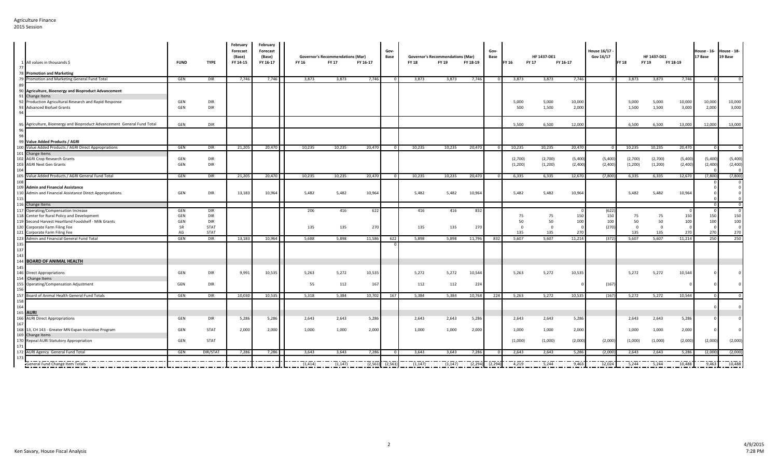## Agriculture Finance

2015 Session

|            | 1 All values in thousands \$                                                       | <b>FUND</b> | <b>TYPE</b> | February<br>Forecast<br>(Base)<br>FY 14-15 | February<br>Forecast<br>(Base)<br>FY 16-17 | FY 16   | <b>Governor's Recommendations (Mar)</b><br>FY 17<br>FY 16-17 |        | Gov-<br>Base | <b>FY 18</b> | <b>Governor's Recommendations (Mar)</b><br>FY 19 | FY 18-19 | Gov-<br>Base   | FY 16    | HF 1437-DE1<br><b>FY 17</b> | FY 16-17 | <b>House 16/17</b><br>Gov 16/17 | <b>FY 18</b> | <b>HF 1437-DE1</b><br>FY 19 | FY 18-19 | <b>House - 16-</b><br>17 Base | <b>House - 18-</b><br>19 Base |
|------------|------------------------------------------------------------------------------------|-------------|-------------|--------------------------------------------|--------------------------------------------|---------|--------------------------------------------------------------|--------|--------------|--------------|--------------------------------------------------|----------|----------------|----------|-----------------------------|----------|---------------------------------|--------------|-----------------------------|----------|-------------------------------|-------------------------------|
|            | 78 Promotion and Marketing                                                         |             |             |                                            |                                            |         |                                                              |        |              |              |                                                  |          |                |          |                             |          |                                 |              |                             |          |                               |                               |
|            | 79 Promotion and Marketing General Fund Total                                      | GEN         | <b>DIR</b>  | 7,746                                      | 7,746                                      | 3,873   | 3,873                                                        | 7,746  |              | 3,873        | 3,873                                            | 7,746    | $\overline{0}$ | 3,873    | 3,873                       | 7,746    |                                 | 3,873        | 3,873                       | 7,746    |                               |                               |
|            | 90 Agriculture, Bioenergy and Bioproduct Advancement<br>91 Change Items            |             |             |                                            |                                            |         |                                                              |        |              |              |                                                  |          |                |          |                             |          |                                 |              |                             |          |                               |                               |
|            | 92 Production Agricultural Research and Rapid Response                             | GEN         | <b>DIR</b>  |                                            |                                            |         |                                                              |        |              |              |                                                  |          |                | 5,000    | 5,000                       | 10,000   |                                 | 5,000        | 5,000                       | 10,000   | 10,000                        | 10,000                        |
| 9          | 93 Advanced Biofuel Grants                                                         | GEN         | DIR         |                                            |                                            |         |                                                              |        |              |              |                                                  |          |                | 500      | 1,500                       | 2,000    |                                 | 1,500        | 1,500                       | 3,000    | 2,000                         | 3,000                         |
|            | 95 Agriculture, Bioenergy and Bioproduct Advancement General Fund Total            | GEN         | <b>DIR</b>  |                                            |                                            |         |                                                              |        |              |              |                                                  |          |                | 5.500    | 6,500                       | 12,000   |                                 | 6.500        | 6,500                       | 13,000   | 12,000                        | 13,000                        |
|            | 99 Value Added Products / AGRI                                                     |             |             |                                            |                                            |         |                                                              |        |              |              |                                                  |          |                |          |                             |          |                                 |              |                             |          |                               |                               |
|            | 100 Value Added Products / AGRI Direct Appropriations                              | GEN         | <b>DIR</b>  | 21,205                                     | 20,470                                     | 10,235  | 10,235                                                       | 20,470 |              | 10,235       | 10,235                                           | 20,470   |                | 10,235   | 10,235                      | 20,470   |                                 | 10,235       | 10,235                      | 20,470   |                               |                               |
|            | 101 Change Items                                                                   |             |             |                                            |                                            |         |                                                              |        |              |              |                                                  |          |                |          |                             |          |                                 |              |                             |          |                               |                               |
|            | 102 AGRI Crop Research Grants                                                      | GEN         | DIR         |                                            |                                            |         |                                                              |        |              |              |                                                  |          |                | (2,700)  | (2,700)                     | (5,400)  | (5,400)                         | (2,700)      | (2,700)                     | (5,400)  | (5,400)                       | (5,400)                       |
|            | 103 AGRI Next Gen Grants                                                           | GEN         | DIR         |                                            |                                            |         |                                                              |        |              |              |                                                  |          |                | (1,200)  | (1,200)                     | (2,400)  | (2,400)                         | (1, 200)     | (1,200)                     | (2,400)  | (2,400)                       | (2,400)                       |
| 104        |                                                                                    |             |             |                                            |                                            |         |                                                              |        |              |              |                                                  |          |                |          |                             |          |                                 |              |                             |          |                               |                               |
|            | 105 Value Added Products / AGRI General Fund Total                                 | GEN         | DIR         | 21,205                                     | 20,470                                     | 10,235  | 10,235                                                       | 20,470 |              | 10,235       | 10,235                                           | 20,470   | - 0            | 6,335    | 6,335                       | 12,670   | (7,800)                         | 6,335        | 6,335                       | 12,670   | (7, 800)                      | (7,800)                       |
| 108        |                                                                                    |             |             |                                            |                                            |         |                                                              |        |              |              |                                                  |          |                |          |                             |          |                                 |              |                             |          |                               |                               |
|            | 109 Admin and Financial Assistance                                                 |             |             |                                            |                                            |         |                                                              |        |              |              |                                                  |          |                |          |                             |          |                                 |              |                             |          |                               |                               |
| 115        | 110 Admin and Financial Assistance Direct Appropriations                           | GEN         | DIR         | 13,183                                     | 10,964                                     | 5,482   | 5,482                                                        | 10,964 |              | 5,482        | 5,482                                            | 10,964   |                | 5,482    | 5,482                       | 10,964   |                                 | 5,482        | 5,482                       | 10,964   |                               |                               |
|            | 116 Change Items                                                                   |             |             |                                            |                                            |         |                                                              |        |              |              |                                                  |          |                |          |                             |          |                                 |              |                             |          |                               |                               |
|            |                                                                                    | GEN         | DIR         |                                            |                                            | 206     | 416                                                          | 622    |              | 416          | 416                                              | 832      |                |          |                             |          | (622)                           |              |                             |          |                               |                               |
|            | 117 Operating/Compensation Increase<br>118 Center for Rural Policy and Development | GEN         | DIR         |                                            |                                            |         |                                                              |        |              |              |                                                  |          |                | 75       | 75                          | 150      | 150                             | 75           | 75                          | 150      | 150                           | 150                           |
|            | 119 Second Harvest Heartland Foodshelf - Milk Grants                               | GEN         | <b>DIR</b>  |                                            |                                            |         |                                                              |        |              |              |                                                  |          |                | 50       | 50                          | 100      | 100                             | 50           | 50                          | 100      | 100                           | 100                           |
|            |                                                                                    | SR          | <b>STAT</b> |                                            |                                            | 135     | 135                                                          | 270    |              | 135          |                                                  |          |                | $\Omega$ | $\Omega$                    |          | (270)                           | - 0          | $\Omega$                    |          |                               | $\Omega$                      |
|            | 120 Corporate Farm Filing Fee<br>121 Corporate Farm Filing Fee                     | AG          | <b>STAT</b> |                                            |                                            |         |                                                              |        |              |              | 135                                              | 270      |                | 135      | 135                         | 270      |                                 | 135          | 135                         | 270      | 270                           | 270                           |
|            | 123 Admin and Financial General Fund Total                                         | GEN         | DIR         | 13,183                                     | 10,964                                     | 5,688   | 5,898                                                        | 11,586 | 622          | 5,898        | 5,898                                            | 11,796   | 832            | 5,607    | 5,607                       | 11,214   | (372)                           | 5,607        | 5,607                       | 11,214   | 250                           | 250                           |
| 135        |                                                                                    |             |             |                                            |                                            |         |                                                              |        |              |              |                                                  |          |                |          |                             |          |                                 |              |                             |          |                               |                               |
| 137<br>143 | 144 BOARD OF ANIMAL HEALTH                                                         |             |             |                                            |                                            |         |                                                              |        |              |              |                                                  |          |                |          |                             |          |                                 |              |                             |          |                               |                               |
| 145        |                                                                                    |             |             |                                            |                                            |         |                                                              |        |              |              |                                                  |          |                |          |                             |          |                                 |              |                             |          |                               |                               |
|            | 146 Direct Appropriations<br>154 Change Items                                      | GEN         | DIR         | 9,991                                      | 10,535                                     | 5,263   | 5,272                                                        | 10,535 |              | 5,272        | 5,272                                            | 10,544   |                | 5,263    | 5,272                       | 10,535   |                                 | 5,272        | 5,272                       | 10,544   |                               |                               |
| 156        | 155 Operating/Compensation Adjustment                                              | GEN         | DIR         |                                            |                                            | 55      | 112                                                          | 167    |              | 112          | 112                                              | 224      |                |          |                             |          | (167)                           |              |                             |          |                               |                               |
|            | 157 Board of Animal Health General Fund Totals                                     | GEN         | <b>DIR</b>  | 10,03                                      | 10,535                                     | 5,318   | 5,384                                                        | 10,702 | 167          | 5,384        | 5,384                                            | 10,768   | 224            | 5,263    | 5,272                       | 10,535   | (167)                           | 5,272        | 5,272                       | 10,544   |                               |                               |
| 158        |                                                                                    |             |             |                                            |                                            |         |                                                              |        |              |              |                                                  |          |                |          |                             |          |                                 |              |                             |          |                               |                               |
| 164        |                                                                                    |             |             |                                            |                                            |         |                                                              |        |              |              |                                                  |          |                |          |                             |          |                                 |              |                             |          |                               |                               |
|            | 165 AURI                                                                           |             |             |                                            |                                            |         |                                                              |        |              |              |                                                  |          |                |          |                             |          |                                 |              |                             |          |                               |                               |
| 167        | 166 AURI Direct Appropriations                                                     | GEN         | DIR         | 5,286                                      | 5,286                                      | 2,643   | 2,643                                                        | 5,286  |              | 2,643        | 2,643                                            | 5,286    |                | 2,643    | 2,643                       | 5,286    |                                 | 2,643        | 2,643                       | 5,286    |                               |                               |
|            | 168 13, CH 143 - Greater MN Expan Incentive Program                                | GEN         | <b>STAT</b> | 2,000                                      | 2,000                                      | 1,000   | 1,000                                                        | 2,000  |              | 1,000        | 1,000                                            | 2,000    |                | 1,000    | 1,000                       | 2,000    |                                 | 1,000        | 1,000                       | 2,000    |                               |                               |
|            | 169 Change Items                                                                   |             |             |                                            |                                            |         |                                                              |        |              |              |                                                  |          |                |          |                             |          |                                 |              |                             |          |                               |                               |
| 171        | 170 Repeal AURI Statutory Appropriation                                            | GEN         | <b>STAT</b> |                                            |                                            |         |                                                              |        |              |              |                                                  |          |                | (1,000)  | (1,000)                     | (2,000)  | (2,000)                         | (1,000)      | (1,000)                     | (2,000)  | (2,000)                       | (2,000)                       |
|            | 172 AURI Agency General Fund Total                                                 | GEN         | DIR/STAT    | 7,286                                      | 7,286                                      | 3,643   | 3.643                                                        | 7,286  |              | 3.643        | 3,643                                            | 7,286    | - 0            | 2,643    | 2,643                       | 5,286    | (2,000)                         | 2,643        | 2,643                       | 5,286    | (2,000)                       | (2,000)                       |
| 173        |                                                                                    |             | ----------- |                                            |                                            |         |                                                              |        |              |              |                                                  |          |                |          |                             |          |                                 |              |                             |          |                               |                               |
|            |                                                                                    |             |             |                                            | :=:=:±:=:=:d:t                             | (1,414) |                                                              |        |              |              |                                                  |          |                |          |                             |          |                                 |              |                             |          |                               |                               |